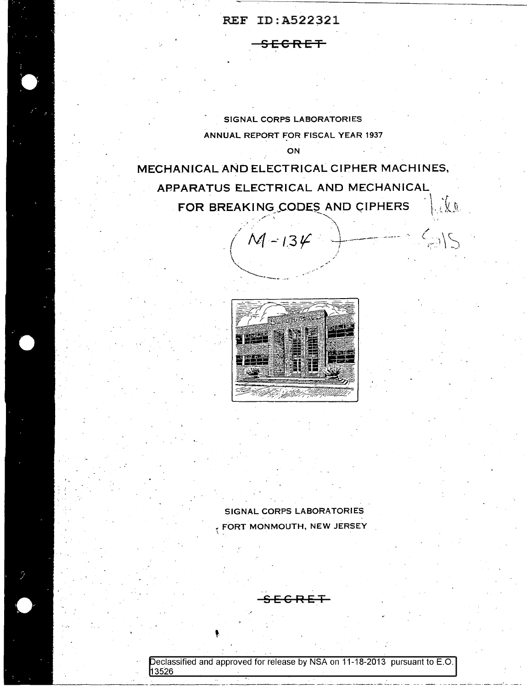SECRET

SIGNAL CORPS LABORATORIES ANNUAL REPORT FOR FISCAL YEAR 1937 **ON** 

MECHANICAL AND ELECTRICAL CIPHER MACHINES, ABPARATUS ELECTRICAL AND MECHANICAL FOR BREAKING CODES AND CIPHERS  $\cdot \mid \cdot \n \tau$  $\dots, \dots$ 

 $M - 134$ 

 $\bigwedge_{i=1}^n \mathbb{Z}^n$  .

 $^{\circ}$  \  $^{\circ}$ 



SIGNAL CORPS LABORATORIES  $\epsilon$  FORT MONMOUTH, NEW JERSEY

SECRET

·'

eclassified and approved for release by NSA on 11-18-2013 pursuant to E.O. ---------------------·- - -- - <sup>~</sup>- - -- \_...:.\_ \_\_\_\_ -' - ---13526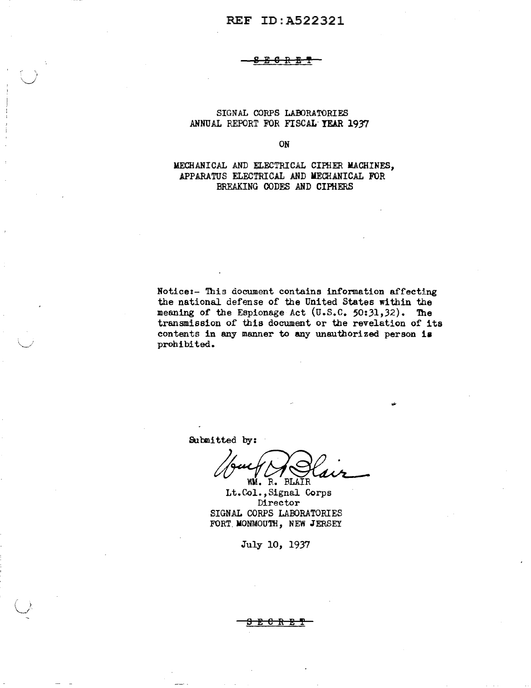₽ - Fr

SIGNAL CORPS LABORATORIES ANNUAL REPORT FOR FISCAL YEAR 1937

ON

MECHANICAL AND ELECTRICAL CIPHER MACHINES. APPARATUS ELECTRICAL AND MECHANICAL FOR BREAKING CODES AND CIPHERS

Notice:- This document contains information affecting the national defense of the United States within the meaning of the Espionage Act (U.S.C. 50:31,32). The transmission of this document or the revelation of its contents in any manner to any unauthorized person is prohibited.

Submitted by:

WM. R. BLAIR

Lt.Col., Signal Corps Director SIGNAL CORPS LABORATORIES FORT MONMOUTH, NEW JERSEY

July 10, 1937

<del>ር R E</del>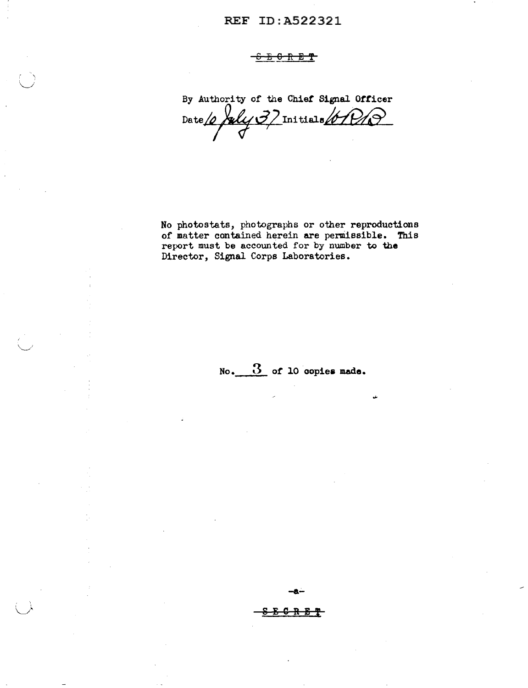## S E 6 R E 'f

 $( \quad )$  $\setminus$  .

 $\cdot$  , , , ,

By Authority of the Chief Signal Officer Date  $\sqrt{\frac{2}{J}}$ Initials  $\sqrt{\frac{1}{2}}$ 

No photostats, photographs or other reproductions of matter contained herein are permissible. This report must be accounted for by number to the Director, Signal Corps Laboratories.

No. 3 or 10 oopiea **made.** 

**-a.;\_**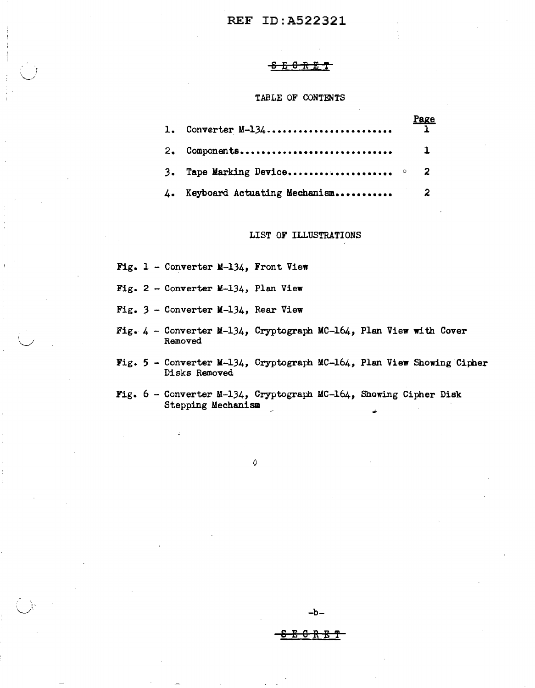#### ' ' 8E0RET

#### TABLE OF CONTENTS

|              | 1. Converter $M-134$             | <u>Page</u><br>$\overline{\mathbf{1}}$ |
|--------------|----------------------------------|----------------------------------------|
| -2.          | Components                       | 1                                      |
|              | 3. Tape Marking Device $\circ$ 2 |                                        |
| $\mathbf{L}$ |                                  |                                        |

#### LIST OF ILLUSTRATIONS

Fig.  $1$  - Converter M-134, Front View

 $\cup$ 

- Fig. 2 Converter M-134, Plan View
- Fig. *3*  Converter M-134, Rear View
- Fig.  $4$  Converter M-134, Cryptograph MC-164, Plan View with Cover Removed
- Fig. 5 Converter M-134, Cryptograph MC-164, Plan View Showing Cipher Disks Removed

-b-

<u>ድ 6 R E T</u>

Fig.  $6$  - Converter M-134, Cryptograph MC-164, Showing Cipher Disk Stepping Mechanism

*0*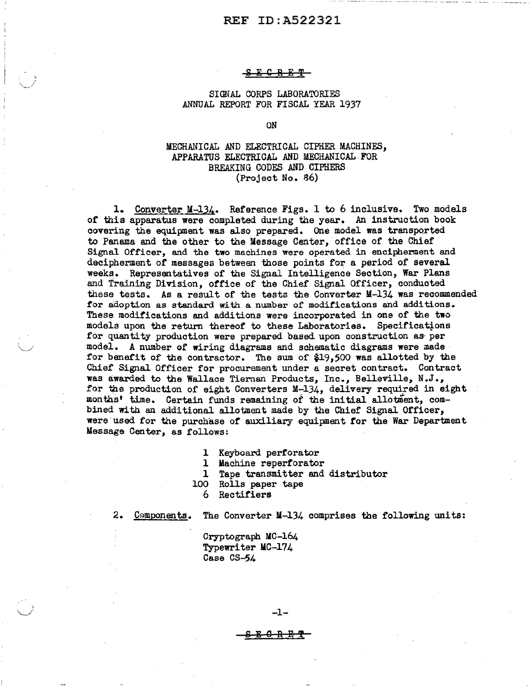#### <del>E C R E T</del>

#### SIGNAL CORPS LABORATORIES ANNUAL REPORT FOR FISCAL YEAR 1937

ON

### MECHANICAL AND ELECTRICAL CIPHER MACHINES, APPARATUS ELECTRICAL AND MECHANICAL FOR BREAKING CODES AND CIPHERS (Project No. 86)

1. Converter M-134. Reference Figs. 1 to 6 inclusive. Two models or this apparatus were completed during the year. An instruction book covering the equipment was also prepared. One model was transported to Panama and the other to the Message Center, office of the Chief Signal Officer, and the two machines were operated in encipherment and decipherment of messages between those points for a period of several weeks. Representatives of the Signal Intelligence Section, War Plans and Training Division, office of the Chief Signal Officer, conducted these tests. As a result of the tests the Converter M-134 was recommended for adoption as standard with a number of modifications and additions. These modifications and additions were incorporated in one of the two models upon the return thereof to these Laboratories. Specifications for quantity production were prepared based upon construction as· per model. A number or wiring diagrams and schematic diagrams were made for benefit of the contractor. The sum of  $$19,500$  was allotted by the Chief Signal Officer for procurement under a secret contract. Contract was awarded to the Wallace Tiernan Products, Inc., Belleville, N.J., for the production of eight Converters M-134, delivery required in eight months' time. Certain funds remaining of the initial allotment, combined with an additional allotment made by the Chief Signal Officer, were used for the purchase of auxiliary equipment for the War Department Message Center, as follows:

1 Keyboard perforator

1 Machine repertorator

1 Tape transmitter and distributor

- 100 Rolls paper tape
	- 6 Rectifiers

 $\setminus$ 

2. Components. The Converter  $M-134$  comprises the following units:

Cryptograph MC-164 Typewriter MC-174 Case CS-54

-1-

<del>B C R B T</del>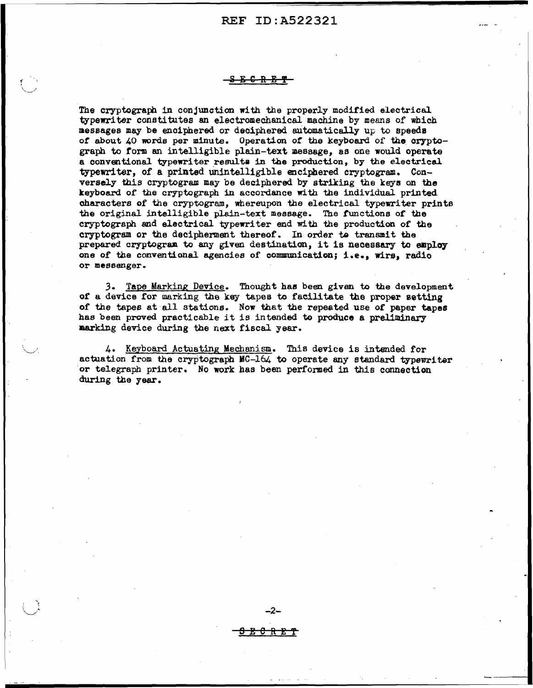#### <mark>S E C R E ዋ</mark>

The cryptograph in conjunction with the properly modified electrical typewriter conati tutes sn electromechanical machine by means of which 11essages may be enoiphered or deciphered aritomatically up to speeds of about 40 words per minute. Operation of the keyboard of the cryptograph to form an intelligible plain-text message, as one would operate a conventional typewriter results in the production, by the electrical typewriter, of a printed Unintelligible enciphered cryptogram. Conversely this cryptogram. may be deciphered by striking the keye on the keyboard of the cryptograph in accordance with the individual printed. characters of the cryptogram, whereupon the electrical typewriter prints the original intelligible plain-text message. The t'unctions *ot* the cryptograph and electrical typewriter end with the production of the cryptogram or the decipherment thereof. In order to transmit the prepared cryptogram to any given destination, it is necessary to employ one *ot* the conventional agencies of communication; i.e., wirs, radio or messenger.

*3.* Tape Marking Device. Thought hae been given to the development *ot* a device ror marking the key tapes to facilitate the proper setting of the tapes at all stations. Now that the repeated use *ot* paper tapes has been proved practicable it is in tended to produce a preliminary marking device during the next fiscal year.

4. Keyboard Actuating Mechanism. This device is intended for actuation from the cryptograph MC-164 to operate any standard typewriter or telegraph printer. No work has been performed in this connection during the year.

SE0REf

 $-2-$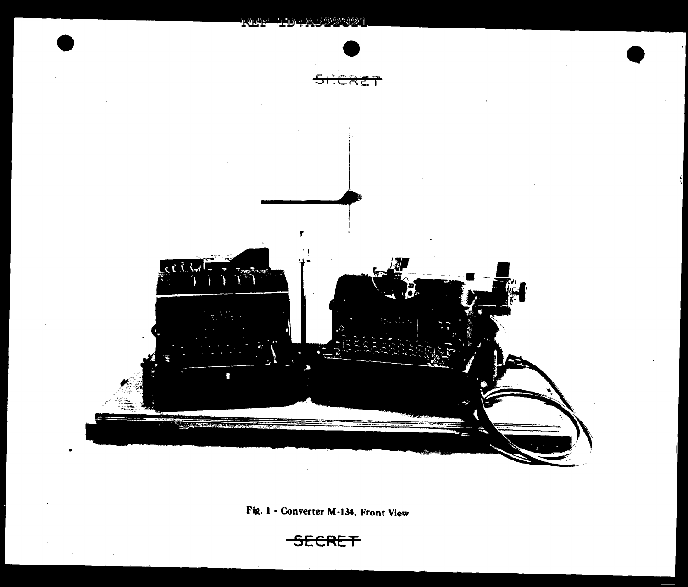

Fig. 1 - Converter M-134, Front View

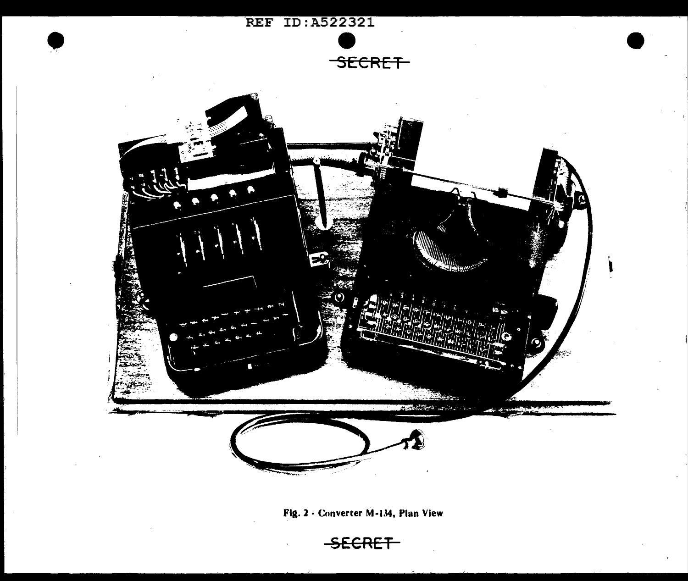

Fig. *2* - Converter M-134, Plan View

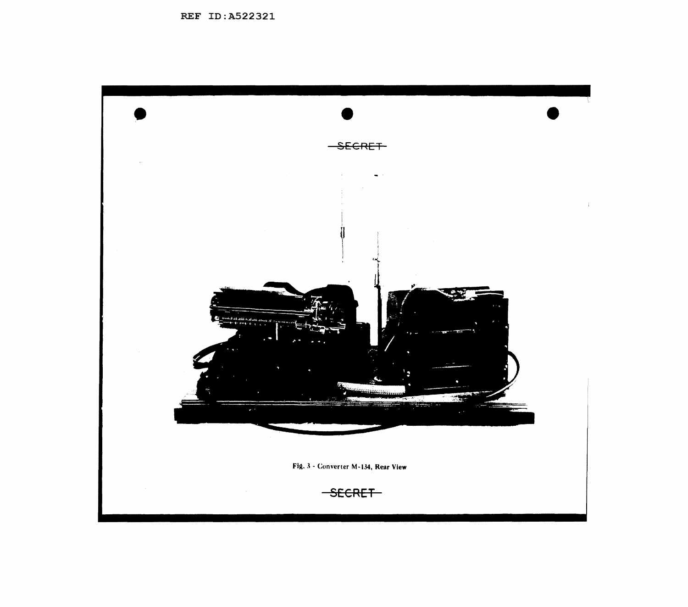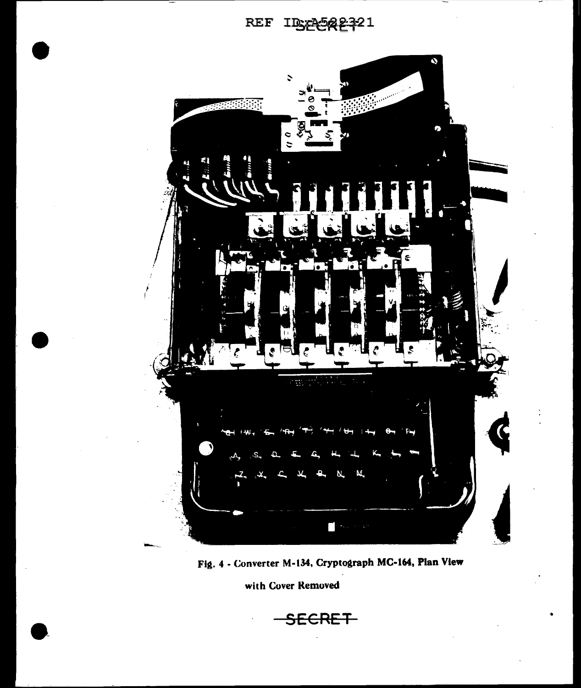



Fig. 4 - Converter M-134, Cryptograph MC-164, Plan View

with Cover Removed

SECRET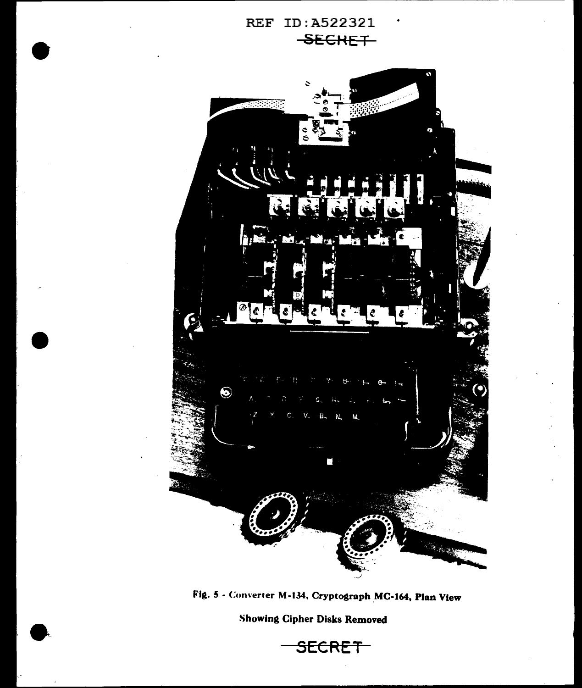



Fig. 5 - Converter M-134, Cryptograph MC-164, Plan View

Showing Cipher Disks Removed